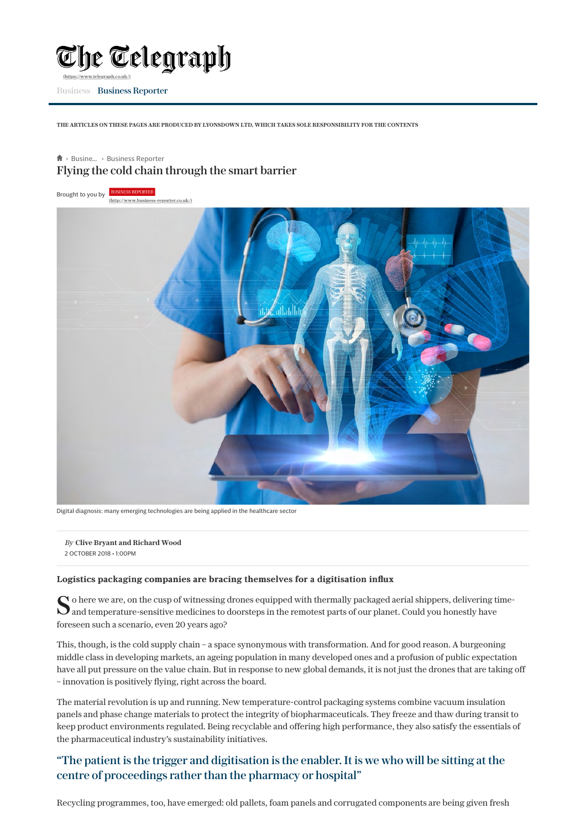

[Business](https://www.telegraph.co.uk/business/) [Business Reporter](https://www.telegraph.co.uk/business/business-reporter/)

**THE ARTICLES ON THESE PAGES ARE PRODUCED BY LYONSDOWN LTD, WHICH TAKES SOLE RESPONSIBILITY FOR THE CONTENTS**

### $\uparrow$  **→ [Busine](https://www.telegraph.co.uk/business/)... → [Business Reporter](https://www.telegraph.co.uk/business/business-reporter/)** Flying the cold chain through the smart barrier



Digital diagnosis: many emerging technologies are being applied in the healthcare sector

By **Clive Bryant and Richard Wood** 2 OCTOBER 2018 • 1:00PM

#### Logistics packaging companies are bracing themselves for a digitisation influx

 $S$  o here we are, on the cusp of witnessing drones equipped with thermally packaged aerial shippers, delivering than temperature-sensitive medicines to doorsteps in the remotest parts of our planet. Could you honestly ha o here we are, on the cusp of witnessing drones equipped with thermally packaged aerial shippers, delivering timeforeseen such a scenario, even 20 years ago?

This, though, is the cold supply chain – a space synonymous with transformation. And for good reason. A burgeoning middle class in developing markets, an ageing population in many developed ones and a profusion of public expectation have all put pressure on the value chain. But in response to new global demands, it is not just the drones that are taking off – innovation is positively flying, right across the board.

The material revolution is up and running. New temperature-control packaging systems combine vacuum insulation panels and phase change materials to protect the integrity of biopharmaceuticals. They freeze and thaw during transit to keep product environments regulated. Being recyclable and offering high performance, they also satisfy the essentials of the pharmaceutical industry's sustainability initiatives.

# The patient is the trigger and digitisation is the enabler. It is we who will be sitting at the " centre of proceedings rather than the pharmacy or hospital "

Recycling programmes, too, have emerged: old pallets, foam panels and corrugated components are being given fresh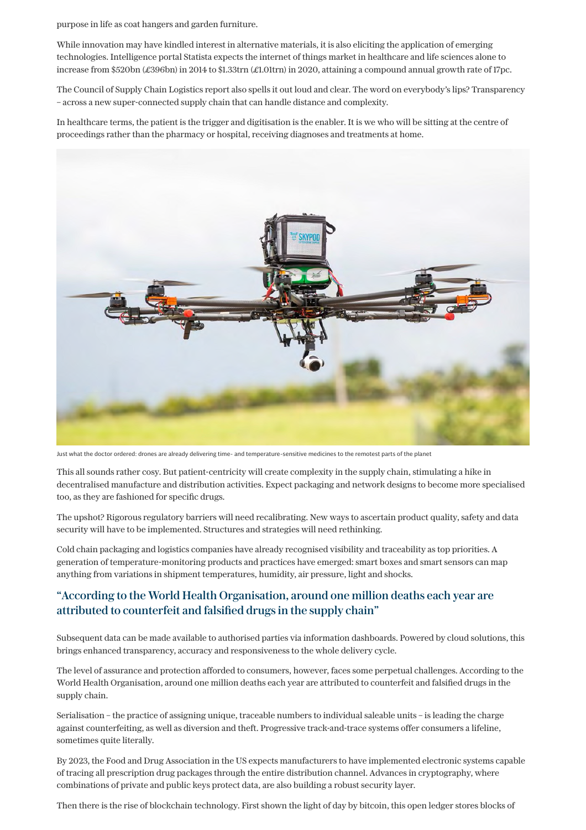purpose in life as coat hangers and garden furniture.

While innovation may have kindled interest in alternative materials, it is also eliciting the application of emerging technologies. Intelligence portal Statista expects the internet of things market in healthcare and life sciences alone to increase from \$520bn (£396bn) in 2014 to \$1.33trn (£1.01trn) in 2020, attaining a compound annual growth rate of 17pc.

The Council of Supply Chain Logistics report also spells it out loud and clear. The word on everybody's lips? Transparency – across a new super-connected supply chain that can handle distance and complexity.

In healthcare terms, the patient is the trigger and digitisation is the enabler. It is we who will be sitting at the centre of proceedings rather than the pharmacy or hospital, receiving diagnoses and treatments at home.



Just what the doctor ordered: drones are already delivering time- and temperature-sensitive medicines to the remotest parts of the planet

This all sounds rather cosy. But patient-centricity will create complexity in the supply chain, stimulating a hike in decentralised manufacture and distribution activities. Expect packaging and network designs to become more specialised too, as they are fashioned for specific drugs.

The upshot? Rigorous regulatory barriers will need recalibrating. New ways to ascertain product quality, safety and data security will have to be implemented. Structures and strategies will need rethinking.

Cold chain packaging and logistics companies have already recognised visibility and traceability as top priorities. A generation of temperature-monitoring products and practices have emerged: smart boxes and smart sensors can map anything from variations in shipment temperatures, humidity, air pressure, light and shocks.

# According to the World Health Organisation, around one million deaths each year are " attributed to counterfeit and falsified drugs in the supply chain "

Subsequent data can be made available to authorised parties via information dashboards. Powered by cloud solutions, this brings enhanced transparency, accuracy and responsiveness to the whole delivery cycle.

The level of assurance and protection afforded to consumers, however, faces some perpetual challenges. According to the World Health Organisation, around one million deaths each year are attributed to counterfeit and falsified drugs in the supply chain.

Serialisation – the practice of assigning unique, traceable numbers to individual saleable units – is leading the charge against counterfeiting, as well as diversion and theft. Progressive track-and-trace systems offer consumers a lifeline, sometimes quite literally.

By 2023, the Food and Drug Association in the US expects manufacturers to have implemented electronic systems capable of tracing all prescription drug packages through the entire distribution channel. Advances in cryptography, where combinations of private and public keys protect data, are also building a robust security layer.

Then there is the rise of blockchain technology. First shown the light of day by bitcoin, this open ledger stores blocks of